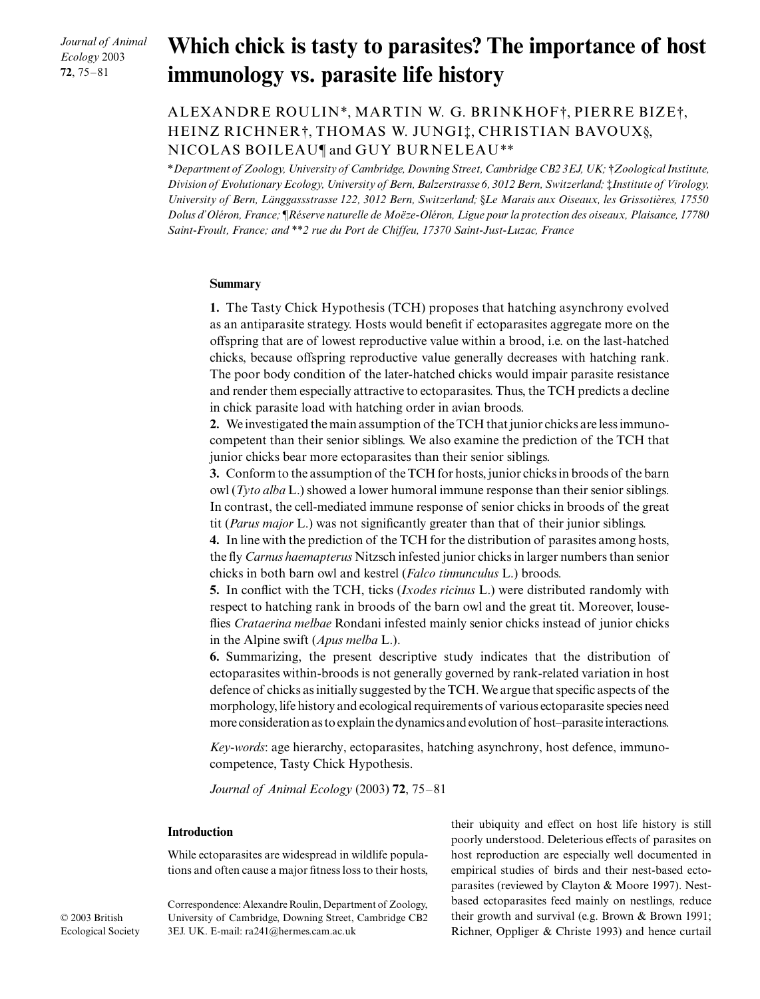*Journal of Animal Ecology* 2003 **72**, 75–81

# **Which chick is tasty to parasites? The importance of host immunology vs. parasite life history**

# ALEXANDRE ROULIN\*, MARTIN W. G. BRINKHOF†, PIERRE BIZE†, HEINZ RICHNER†, THOMAS W. JUNGI‡, CHRISTIAN BAVOUX§, NICOLAS BOILEAU¶ and GUY BURNELEAU\*\*

\**Department of Zoology, University of Cambridge, Downing Street, Cambridge CB2 3EJ, UK;* †*Zoological Institute, Division of Evolutionary Ecology, University of Bern, Balzerstrasse 6, 3012 Bern, Switzerland;* ‡*Institute of Virology, University of Bern, Länggassstrasse 122, 3012 Bern, Switzerland;* §*Le Marais aux Oiseaux, les Grissotières, 17550 Dolus d'Oléron, France;* ¶*Réserve naturelle de Moëze-Oléron, Ligue pour la protection des oiseaux, Plaisance, 17780 Saint-Froult, France; and* \*\**2 rue du Port de Chiffeu, 17370 Saint-Just-Luzac, France* 

#### **Summary**

**1.** The Tasty Chick Hypothesis (TCH) proposes that hatching asynchrony evolved as an antiparasite strategy. Hosts would benefit if ectoparasites aggregate more on the offspring that are of lowest reproductive value within a brood, i.e. on the last-hatched chicks, because offspring reproductive value generally decreases with hatching rank. The poor body condition of the later-hatched chicks would impair parasite resistance and render them especially attractive to ectoparasites. Thus, the TCH predicts a decline in chick parasite load with hatching order in avian broods.

**2.** We investigated the main assumption of the TCH that junior chicks are less immunocompetent than their senior siblings. We also examine the prediction of the TCH that junior chicks bear more ectoparasites than their senior siblings.

**3.** Conform to the assumption of the TCH for hosts, junior chicks in broods of the barn owl (*Tyto alba* L.) showed a lower humoral immune response than their senior siblings. In contrast, the cell-mediated immune response of senior chicks in broods of the great tit (*Parus major* L.) was not significantly greater than that of their junior siblings.

**4.** In line with the prediction of the TCH for the distribution of parasites among hosts, the fly *Carnus haemapterus* Nitzsch infested junior chicks in larger numbers than senior chicks in both barn owl and kestrel (*Falco tinnunculus* L.) broods.

**5.** In conflict with the TCH, ticks (*Ixodes ricinus* L.) were distributed randomly with respect to hatching rank in broods of the barn owl and the great tit. Moreover, louseflies *Crataerina melbae* Rondani infested mainly senior chicks instead of junior chicks in the Alpine swift (*Apus melba* L.).

**6.** Summarizing, the present descriptive study indicates that the distribution of ectoparasites within-broods is not generally governed by rank-related variation in host defence of chicks as initially suggested by the TCH. We argue that specific aspects of the morphology, life history and ecological requirements of various ectoparasite species need more consideration as to explain the dynamics and evolution of host–parasite interactions.

*Key-words*: age hierarchy, ectoparasites, hatching asynchrony, host defence, immunocompetence, Tasty Chick Hypothesis.

*Journal of Animal Ecology* (2003) **72**, 75–81

#### **Introduction**

While ectoparasites are widespread in wildlife populations and often cause a major fitness loss to their hosts,

their ubiquity and effect on host life history is still poorly understood. Deleterious effects of parasites on host reproduction are especially well documented in empirical studies of birds and their nest-based ectoparasites (reviewed by Clayton & Moore 1997). Nestbased ectoparasites feed mainly on nestlings, reduce their growth and survival (e.g. Brown & Brown 1991; Richner, Oppliger & Christe 1993) and hence curtail

Correspondence: Alexandre Roulin, Department of Zoology, University of Cambridge, Downing Street, Cambridge CB2 3EJ. UK. E-mail: ra241@hermes.cam.ac.uk

© 2003 British Ecological Society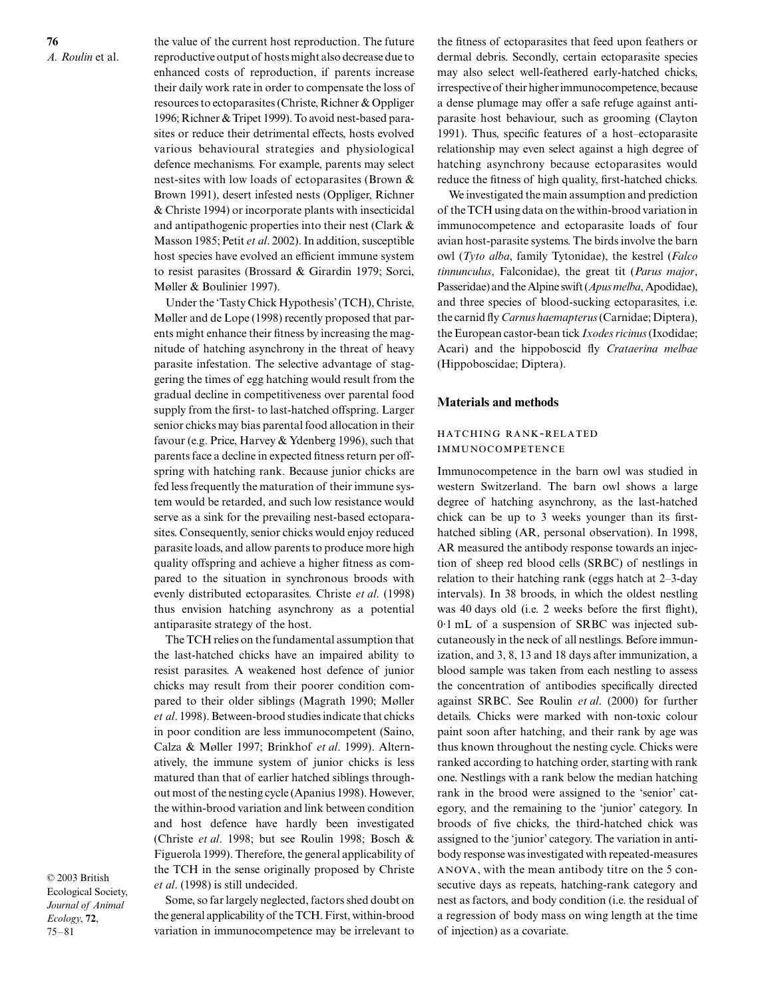**76** *A. Roulin* et al. the value of the current host reproduction. The future reproductive output of hosts might also decrease due to enhanced costs of reproduction, if parents increase their daily work rate in order to compensate the loss of resources to ectoparasites (Christe, Richner & Oppliger 1996; Richner & Tripet 1999). To avoid nest-based parasites or reduce their detrimental effects, hosts evolved various behavioural strategies and physiological defence mechanisms. For example, parents may select nest-sites with low loads of ectoparasites (Brown & Brown 1991), desert infested nests (Oppliger, Richner & Christe 1994) or incorporate plants with insecticidal and antipathogenic properties into their nest (Clark & Masson 1985; Petit *et al*. 2002). In addition, susceptible host species have evolved an efficient immune system to resist parasites (Brossard & Girardin 1979; Sorci, Møller & Boulinier 1997).

Under the 'Tasty Chick Hypothesis' (TCH), Christe, Møller and de Lope (1998) recently proposed that parents might enhance their fitness by increasing the magnitude of hatching asynchrony in the threat of heavy parasite infestation. The selective advantage of staggering the times of egg hatching would result from the gradual decline in competitiveness over parental food supply from the first- to last-hatched offspring. Larger senior chicks may bias parental food allocation in their favour (e.g. Price, Harvey & Ydenberg 1996), such that parents face a decline in expected fitness return per offspring with hatching rank. Because junior chicks are fed less frequently the maturation of their immune system would be retarded, and such low resistance would serve as a sink for the prevailing nest-based ectoparasites. Consequently, senior chicks would enjoy reduced parasite loads, and allow parents to produce more high quality offspring and achieve a higher fitness as compared to the situation in synchronous broods with evenly distributed ectoparasites. Christe *et al*. (1998) thus envision hatching asynchrony as a potential antiparasite strategy of the host.

The TCH relies on the fundamental assumption that the last-hatched chicks have an impaired ability to resist parasites. A weakened host defence of junior chicks may result from their poorer condition compared to their older siblings (Magrath 1990; Møller *et al*. 1998). Between-brood studies indicate that chicks in poor condition are less immunocompetent (Saino, Calza & Møller 1997; Brinkhof *et al*. 1999). Alternatively, the immune system of junior chicks is less matured than that of earlier hatched siblings throughout most of the nesting cycle (Apanius 1998). However, the within-brood variation and link between condition and host defence have hardly been investigated (Christe *et al*. 1998; but see Roulin 1998; Bosch & Figuerola 1999). Therefore, the general applicability of the TCH in the sense originally proposed by Christe *et al*. (1998) is still undecided.

© 2003 British Ecological Society, *Journal of Animal Ecology*, **72**, 75–81

Some, so far largely neglected, factors shed doubt on the general applicability of the TCH. First, within-brood variation in immunocompetence may be irrelevant to

the fitness of ectoparasites that feed upon feathers or dermal debris. Secondly, certain ectoparasite species may also select well-feathered early-hatched chicks, irrespective of their higher immunocompetence, because a dense plumage may offer a safe refuge against antiparasite host behaviour, such as grooming (Clayton 1991). Thus, specific features of a host–ectoparasite relationship may even select against a high degree of hatching asynchrony because ectoparasites would reduce the fitness of high quality, first-hatched chicks.

We investigated the main assumption and prediction of the TCH using data on the within-brood variation in immunocompetence and ectoparasite loads of four avian host-parasite systems. The birds involve the barn owl (*Tyto alba*, family Tytonidae), the kestrel (*Falco tinnunculus*, Falconidae), the great tit (*Parus major*, Passeridae) and the Alpine swift (*Apus melba*, Apodidae), and three species of blood-sucking ectoparasites, i.e. the carnid fly *Carnus haemapterus* (Carnidae; Diptera), the European castor-bean tick *Ixodes ricinus* (Ixodidae; Acari) and the hippoboscid fly *Crataerina melbae* (Hippoboscidae; Diptera).

#### **Materials and methods**

# HATCHING RANK-RELATED **IMMUNOCOMPETENCE**

Immunocompetence in the barn owl was studied in western Switzerland. The barn owl shows a large degree of hatching asynchrony, as the last-hatched chick can be up to 3 weeks younger than its firsthatched sibling (AR, personal observation). In 1998, AR measured the antibody response towards an injection of sheep red blood cells (SRBC) of nestlings in relation to their hatching rank (eggs hatch at 2–3-day intervals). In 38 broods, in which the oldest nestling was 40 days old (i.e. 2 weeks before the first flight), 0·1 mL of a suspension of SRBC was injected subcutaneously in the neck of all nestlings. Before immunization, and 3, 8, 13 and 18 days after immunization, a blood sample was taken from each nestling to assess the concentration of antibodies specifically directed against SRBC. See Roulin *et al*. (2000) for further details. Chicks were marked with non-toxic colour paint soon after hatching, and their rank by age was thus known throughout the nesting cycle. Chicks were ranked according to hatching order, starting with rank one. Nestlings with a rank below the median hatching rank in the brood were assigned to the 'senior' category, and the remaining to the 'junior' category. In broods of five chicks, the third-hatched chick was assigned to the 'junior' category. The variation in antibody response was investigated with repeated-measures , with the mean antibody titre on the 5 consecutive days as repeats, hatching-rank category and nest as factors, and body condition (i.e. the residual of a regression of body mass on wing length at the time of injection) as a covariate.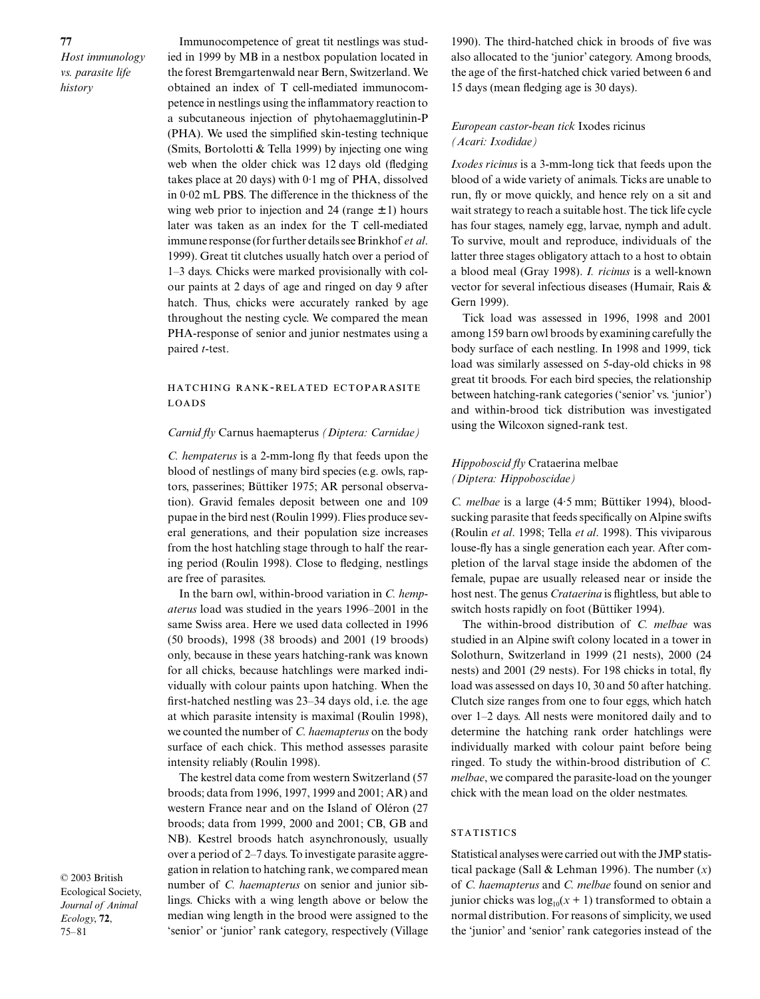**77** *Host immunology vs. parasite life history*

Immunocompetence of great tit nestlings was studied in 1999 by MB in a nestbox population located in the forest Bremgartenwald near Bern, Switzerland. We obtained an index of T cell-mediated immunocompetence in nestlings using the inflammatory reaction to a subcutaneous injection of phytohaemagglutinin-P (PHA). We used the simplified skin-testing technique (Smits, Bortolotti & Tella 1999) by injecting one wing web when the older chick was 12 days old (fledging takes place at 20 days) with 0·1 mg of PHA, dissolved in 0·02 mL PBS. The difference in the thickness of the wing web prior to injection and 24 (range  $\pm$  1) hours later was taken as an index for the T cell-mediated immune response (for further details see Brinkhof *et al*. 1999). Great tit clutches usually hatch over a period of 1–3 days. Chicks were marked provisionally with colour paints at 2 days of age and ringed on day 9 after hatch. Thus, chicks were accurately ranked by age throughout the nesting cycle. We compared the mean PHA-response of senior and junior nestmates using a paired *t*-test.

## HATCHING RANK-RELATED ECTOPARASITE **LOADS**

#### *Carnid fly* Carnus haemapterus *(Diptera: Carnidae)*

*C. hempaterus* is a 2-mm-long fly that feeds upon the blood of nestlings of many bird species (e.g. owls, raptors, passerines; Büttiker 1975; AR personal observation). Gravid females deposit between one and 109 pupae in the bird nest (Roulin 1999). Flies produce several generations, and their population size increases from the host hatchling stage through to half the rearing period (Roulin 1998). Close to fledging, nestlings are free of parasites.

In the barn owl, within-brood variation in *C. hempaterus* load was studied in the years 1996–2001 in the same Swiss area. Here we used data collected in 1996 (50 broods), 1998 (38 broods) and 2001 (19 broods) only, because in these years hatching-rank was known for all chicks, because hatchlings were marked individually with colour paints upon hatching. When the first-hatched nestling was 23–34 days old, i.e. the age at which parasite intensity is maximal (Roulin 1998), we counted the number of *C. haemapterus* on the body surface of each chick. This method assesses parasite intensity reliably (Roulin 1998).

The kestrel data come from western Switzerland (57 broods; data from 1996, 1997, 1999 and 2001; AR) and western France near and on the Island of Oléron (27 broods; data from 1999, 2000 and 2001; CB, GB and NB). Kestrel broods hatch asynchronously, usually over a period of 2–7 days. To investigate parasite aggregation in relation to hatching rank, we compared mean number of *C. haemapterus* on senior and junior siblings. Chicks with a wing length above or below the median wing length in the brood were assigned to the 'senior' or 'junior' rank category, respectively (Village

1990). The third-hatched chick in broods of five was also allocated to the 'junior' category. Among broods, the age of the first-hatched chick varied between 6 and 15 days (mean fledging age is 30 days).

# *European castor-bean tick* Ixodes ricinus *(Acari: Ixodidae)*

*Ixodes ricinus* is a 3-mm-long tick that feeds upon the blood of a wide variety of animals. Ticks are unable to run, fly or move quickly, and hence rely on a sit and wait strategy to reach a suitable host. The tick life cycle has four stages, namely egg, larvae, nymph and adult. To survive, moult and reproduce, individuals of the latter three stages obligatory attach to a host to obtain a blood meal (Gray 1998). *I. ricinus* is a well-known vector for several infectious diseases (Humair, Rais & Gern 1999).

Tick load was assessed in 1996, 1998 and 2001 among 159 barn owl broods by examining carefully the body surface of each nestling. In 1998 and 1999, tick load was similarly assessed on 5-day-old chicks in 98 great tit broods. For each bird species, the relationship between hatching-rank categories ('senior' vs. 'junior') and within-brood tick distribution was investigated using the Wilcoxon signed-rank test.

# *Hippoboscid fly* Crataerina melbae *(Diptera: Hippoboscidae)*

*C. melbae* is a large (4·5 mm; Büttiker 1994), bloodsucking parasite that feeds specifically on Alpine swifts (Roulin *et al*. 1998; Tella *et al*. 1998). This viviparous louse-fly has a single generation each year. After completion of the larval stage inside the abdomen of the female, pupae are usually released near or inside the host nest. The genus *Crataerina* is flightless, but able to switch hosts rapidly on foot (Büttiker 1994).

The within-brood distribution of *C. melbae* was studied in an Alpine swift colony located in a tower in Solothurn, Switzerland in 1999 (21 nests), 2000 (24 nests) and 2001 (29 nests). For 198 chicks in total, fly load was assessed on days 10, 30 and 50 after hatching. Clutch size ranges from one to four eggs, which hatch over 1–2 days. All nests were monitored daily and to determine the hatching rank order hatchlings were individually marked with colour paint before being ringed. To study the within-brood distribution of *C. melbae*, we compared the parasite-load on the younger chick with the mean load on the older nestmates.

#### **STATISTICS**

Statistical analyses were carried out with the JMP statistical package (Sall & Lehman 1996). The number (*x*) of *C. haemapterus* and *C. melbae* found on senior and junior chicks was  $log_{10}(x + 1)$  transformed to obtain a normal distribution. For reasons of simplicity, we used the 'junior' and 'senior' rank categories instead of the

© 2003 British Ecological Society, *Journal of Animal Ecology*, **72**, 75–81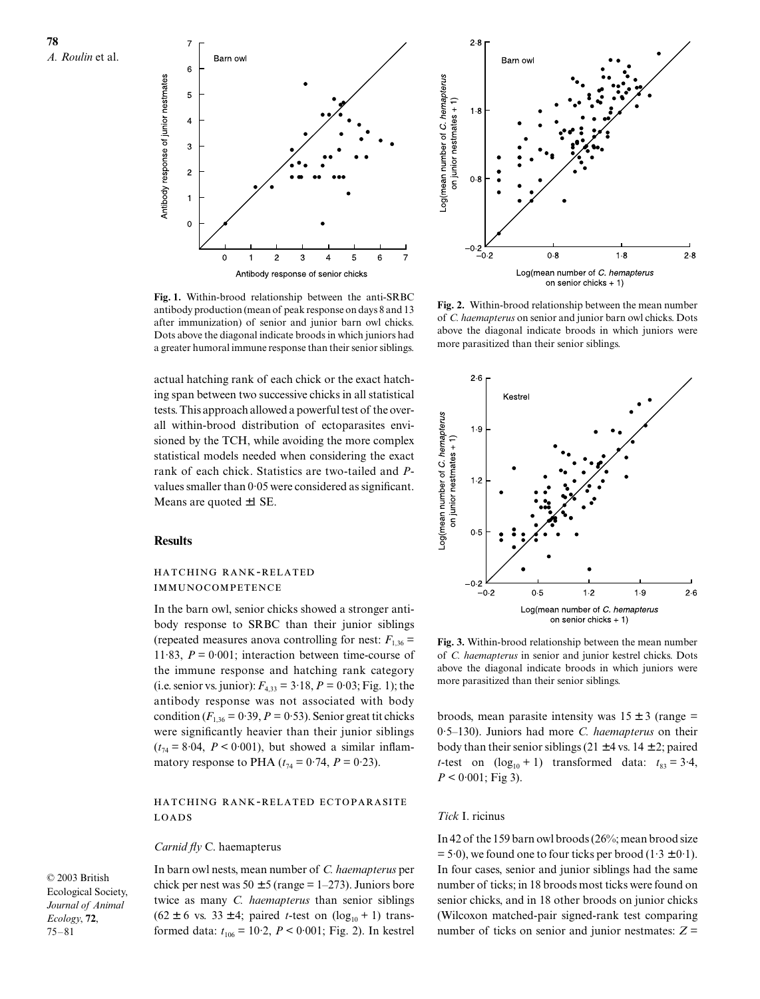



**Fig. 1.** Within-brood relationship between the anti-SRBC antibody production (mean of peak response on days 8 and 13 after immunization) of senior and junior barn owl chicks. Dots above the diagonal indicate broods in which juniors had a greater humoral immune response than their senior siblings.

actual hatching rank of each chick or the exact hatching span between two successive chicks in all statistical tests. This approach allowed a powerful test of the overall within-brood distribution of ectoparasites envisioned by the TCH, while avoiding the more complex statistical models needed when considering the exact rank of each chick. Statistics are two-tailed and *P*values smaller than 0·05 were considered as significant. Means are quoted ±1 SE.

### **Results**

#### HATCHING RANK-RELATED **IMMUNOCOMPETENCE**

In the barn owl, senior chicks showed a stronger antibody response to SRBC than their junior siblings (repeated measures anova controlling for nest:  $F_{1,36}$  = 11.83,  $P = 0.001$ ; interaction between time-course of the immune response and hatching rank category (i.e. senior vs. junior):  $F_{4,33} = 3.18$ ,  $P = 0.03$ ; Fig. 1); the antibody response was not associated with body condition  $(F_{1,36} = 0.39, P = 0.53)$ . Senior great tit chicks were significantly heavier than their junior siblings  $(t_{74} = 8.04, P < 0.001)$ , but showed a similar inflammatory response to PHA ( $t_{74} = 0.74$ ,  $P = 0.23$ ).

# HATCHING RANK-RELATED ECTOPARASITE **LOADS**

#### *Carnid fly* C. haemapterus

© 2003 British Ecological Society, *Journal of Animal Ecology*, **72**, 75–81

In barn owl nests, mean number of *C. haemapterus* per chick per nest was  $50 \pm 5$  (range = 1–273). Juniors bore twice as many *C. haemapterus* than senior siblings  $(62 \pm 6 \text{ vs. } 33 \pm 4; \text{ paired } t\text{-test on } (\log_{10} + 1) \text{ trans-}$ formed data:  $t_{106} = 10.2$ ,  $P < 0.001$ ; Fig. 2). In kestrel

**Fig. 2.** Within-brood relationship between the mean number of *C. haemapterus* on senior and junior barn owl chicks. Dots above the diagonal indicate broods in which juniors were more parasitized than their senior siblings.



**Fig. 3.** Within-brood relationship between the mean number of *C. haemapterus* in senior and junior kestrel chicks. Dots above the diagonal indicate broods in which juniors were more parasitized than their senior siblings.

broods, mean parasite intensity was  $15 \pm 3$  (range = 0·5–130). Juniors had more *C. haemapterus* on their body than their senior siblings (21  $\pm$  4 vs. 14  $\pm$  2; paired *t*-test on  $(\log_{10} + 1)$  transformed data:  $t_{83} = 3.4$ ,  $P < 0.001$ ; Fig 3).

#### *Tick* I. ricinus

In 42 of the 159 barn owl broods (26%; mean brood size  $= 5.0$ , we found one to four ticks per brood  $(1.3 \pm 0.1)$ . In four cases, senior and junior siblings had the same number of ticks; in 18 broods most ticks were found on senior chicks, and in 18 other broods on junior chicks (Wilcoxon matched-pair signed-rank test comparing number of ticks on senior and junior nestmates:  $Z =$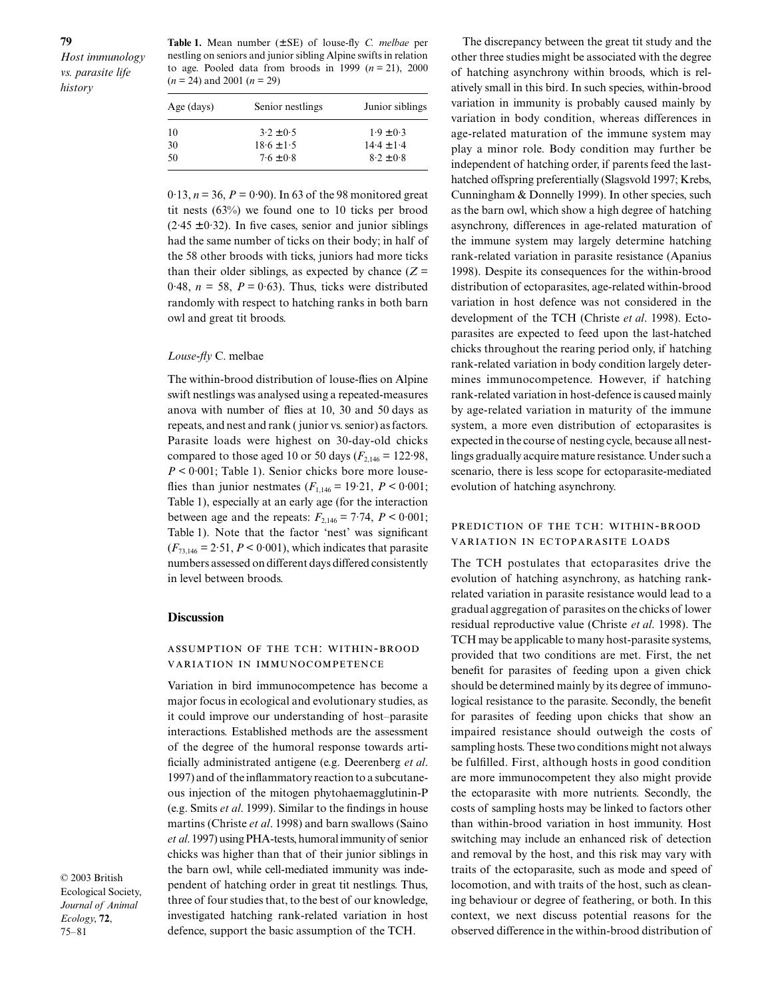**Table 1.** Mean number (± SE) of louse-fly *C. melbae* per nestling on seniors and junior sibling Alpine swifts in relation to age. Pooled data from broods in 1999  $(n = 21)$ , 2000 (*n* = 24) and 2001 (*n* = 29)

| Age (days) | Senior nestlings | Junior siblings |
|------------|------------------|-----------------|
| 10         | $3.2 \pm 0.5$    | $1.9 \pm 0.3$   |
| 30         | $18.6 \pm 1.5$   | $14.4 \pm 1.4$  |
| 50         | $7.6 + 0.8$      | $8.2 \pm 0.8$   |
|            |                  |                 |

 $0.13$ ,  $n = 36$ ,  $P = 0.90$ ). In 63 of the 98 monitored great tit nests (63%) we found one to 10 ticks per brood  $(2.45 \pm 0.32)$ . In five cases, senior and junior siblings had the same number of ticks on their body; in half of the 58 other broods with ticks, juniors had more ticks than their older siblings, as expected by chance  $(Z =$ 0.48,  $n = 58$ ,  $P = 0.63$ ). Thus, ticks were distributed randomly with respect to hatching ranks in both barn owl and great tit broods.

#### *Louse-fly* C. melbae

The within-brood distribution of louse-flies on Alpine swift nestlings was analysed using a repeated-measures anova with number of flies at 10, 30 and 50 days as repeats, and nest and rank ( junior vs. senior) as factors. Parasite loads were highest on 30-day-old chicks compared to those aged 10 or 50 days ( $F_{2,146}$  = 122.98, *P* < 0·001; Table 1). Senior chicks bore more louseflies than junior nestmates  $(F_{1,146} = 19.21, P \le 0.001;$ Table 1), especially at an early age (for the interaction between age and the repeats:  $F_{2,146} = 7.74$ ,  $P < 0.001$ ; Table 1). Note that the factor 'nest' was significant  $(F_{73,146} = 2.51, P < 0.001)$ , which indicates that parasite numbers assessed on different days differed consistently in level between broods.

#### **Discussion**

### ASSUMPTION OF THE TCH: WITHIN-BROOD VARIATION IN IMMUNOCOMPETENCE

Variation in bird immunocompetence has become a major focus in ecological and evolutionary studies, as it could improve our understanding of host–parasite interactions. Established methods are the assessment of the degree of the humoral response towards artificially administrated antigene (e.g. Deerenberg *et al*. 1997) and of the inflammatory reaction to a subcutaneous injection of the mitogen phytohaemagglutinin-P (e.g. Smits *et al*. 1999). Similar to the findings in house martins (Christe *et al*. 1998) and barn swallows (Saino *et al*. 1997) using PHA-tests, humoral immunity of senior chicks was higher than that of their junior siblings in the barn owl, while cell-mediated immunity was independent of hatching order in great tit nestlings. Thus, three of four studies that, to the best of our knowledge, investigated hatching rank-related variation in host defence, support the basic assumption of the TCH.

© 2003 British Ecological Society, *Journal of Animal Ecology*, **72**, 75–81

The discrepancy between the great tit study and the other three studies might be associated with the degree of hatching asynchrony within broods, which is relatively small in this bird. In such species, within-brood variation in immunity is probably caused mainly by variation in body condition, whereas differences in age-related maturation of the immune system may play a minor role. Body condition may further be independent of hatching order, if parents feed the lasthatched offspring preferentially (Slagsvold 1997; Krebs, Cunningham & Donnelly 1999). In other species, such as the barn owl, which show a high degree of hatching asynchrony, differences in age-related maturation of the immune system may largely determine hatching rank-related variation in parasite resistance (Apanius 1998). Despite its consequences for the within-brood distribution of ectoparasites, age-related within-brood variation in host defence was not considered in the development of the TCH (Christe *et al*. 1998). Ectoparasites are expected to feed upon the last-hatched chicks throughout the rearing period only, if hatching rank-related variation in body condition largely determines immunocompetence. However, if hatching rank-related variation in host-defence is caused mainly by age-related variation in maturity of the immune system, a more even distribution of ectoparasites is expected in the course of nesting cycle, because all nestlings gradually acquire mature resistance. Under such a scenario, there is less scope for ectoparasite-mediated evolution of hatching asynchrony.

#### PREDICTION OF THE TCH: WITHIN-BROOD VARIATION IN ECTOPARASITE LOADS

The TCH postulates that ectoparasites drive the evolution of hatching asynchrony, as hatching rankrelated variation in parasite resistance would lead to a gradual aggregation of parasites on the chicks of lower residual reproductive value (Christe *et al*. 1998). The TCH may be applicable to many host-parasite systems, provided that two conditions are met. First, the net benefit for parasites of feeding upon a given chick should be determined mainly by its degree of immunological resistance to the parasite. Secondly, the benefit for parasites of feeding upon chicks that show an impaired resistance should outweigh the costs of sampling hosts. These two conditions might not always be fulfilled. First, although hosts in good condition are more immunocompetent they also might provide the ectoparasite with more nutrients. Secondly, the costs of sampling hosts may be linked to factors other than within-brood variation in host immunity. Host switching may include an enhanced risk of detection and removal by the host, and this risk may vary with traits of the ectoparasite, such as mode and speed of locomotion, and with traits of the host, such as cleaning behaviour or degree of feathering, or both. In this context, we next discuss potential reasons for the observed difference in the within-brood distribution of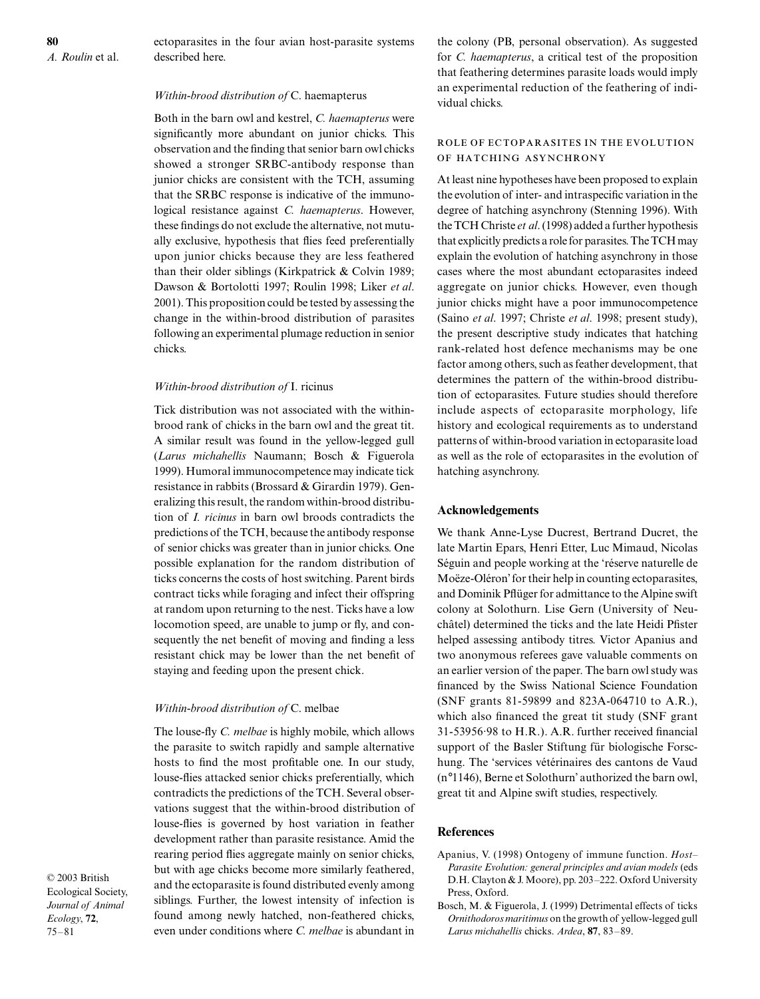ectoparasites in the four avian host-parasite systems described here.

#### *Within-brood distribution of* C. haemapterus

Both in the barn owl and kestrel, *C. haemapterus* were significantly more abundant on junior chicks. This observation and the finding that senior barn owl chicks showed a stronger SRBC-antibody response than junior chicks are consistent with the TCH, assuming that the SRBC response is indicative of the immunological resistance against *C. haemapterus*. However, these findings do not exclude the alternative, not mutually exclusive, hypothesis that flies feed preferentially upon junior chicks because they are less feathered than their older siblings (Kirkpatrick & Colvin 1989; Dawson & Bortolotti 1997; Roulin 1998; Liker *et al*. 2001). This proposition could be tested by assessing the change in the within-brood distribution of parasites following an experimental plumage reduction in senior chicks.

#### *Within-brood distribution of* I. ricinus

Tick distribution was not associated with the withinbrood rank of chicks in the barn owl and the great tit. A similar result was found in the yellow-legged gull (*Larus michahellis* Naumann; Bosch & Figuerola 1999). Humoral immunocompetence may indicate tick resistance in rabbits (Brossard & Girardin 1979). Generalizing this result, the random within-brood distribution of *I. ricinus* in barn owl broods contradicts the predictions of the TCH, because the antibody response of senior chicks was greater than in junior chicks. One possible explanation for the random distribution of ticks concerns the costs of host switching. Parent birds contract ticks while foraging and infect their offspring at random upon returning to the nest. Ticks have a low locomotion speed, are unable to jump or fly, and consequently the net benefit of moving and finding a less resistant chick may be lower than the net benefit of staying and feeding upon the present chick.

#### *Within-brood distribution of* C. melbae

The louse-fly *C. melbae* is highly mobile, which allows the parasite to switch rapidly and sample alternative hosts to find the most profitable one. In our study, louse-flies attacked senior chicks preferentially, which contradicts the predictions of the TCH. Several observations suggest that the within-brood distribution of louse-flies is governed by host variation in feather development rather than parasite resistance. Amid the rearing period flies aggregate mainly on senior chicks, but with age chicks become more similarly feathered, and the ectoparasite is found distributed evenly among siblings. Further, the lowest intensity of infection is found among newly hatched, non-feathered chicks, even under conditions where *C. melbae* is abundant in

© 2003 British Ecological Society, *Journal of Animal Ecology*, **72**, 75–81

the colony (PB, personal observation). As suggested for *C. haemapterus*, a critical test of the proposition that feathering determines parasite loads would imply an experimental reduction of the feathering of individual chicks.

# ROLE OF ECTOPARASITES IN THE EVOLUTION OF HATCHING ASYNCHRONY

At least nine hypotheses have been proposed to explain the evolution of inter- and intraspecific variation in the degree of hatching asynchrony (Stenning 1996). With the TCH Christe *et al*. (1998) added a further hypothesis that explicitly predicts a role for parasites. The TCH may explain the evolution of hatching asynchrony in those cases where the most abundant ectoparasites indeed aggregate on junior chicks. However, even though junior chicks might have a poor immunocompetence (Saino *et al*. 1997; Christe *et al*. 1998; present study), the present descriptive study indicates that hatching rank-related host defence mechanisms may be one factor among others, such as feather development, that determines the pattern of the within-brood distribution of ectoparasites. Future studies should therefore include aspects of ectoparasite morphology, life history and ecological requirements as to understand patterns of within-brood variation in ectoparasite load as well as the role of ectoparasites in the evolution of hatching asynchrony.

#### **Acknowledgements**

We thank Anne-Lyse Ducrest, Bertrand Ducret, the late Martin Epars, Henri Etter, Luc Mimaud, Nicolas Séguin and people working at the 'réserve naturelle de Moëze-Oléron' for their help in counting ectoparasites, and Dominik Pflüger for admittance to the Alpine swift colony at Solothurn. Lise Gern (University of Neuchâtel) determined the ticks and the late Heidi Pfister helped assessing antibody titres. Victor Apanius and two anonymous referees gave valuable comments on an earlier version of the paper. The barn owl study was financed by the Swiss National Science Foundation (SNF grants 81-59899 and 823A-064710 to A.R.), which also financed the great tit study (SNF grant 31-53956·98 to H.R.). A.R. further received financial support of the Basler Stiftung für biologische Forschung. The 'services vétérinaires des cantons de Vaud (n°1146), Berne et Solothurn' authorized the barn owl, great tit and Alpine swift studies, respectively.

#### **References**

- Apanius, V. (1998) Ontogeny of immune function. *Host– Parasite Evolution: general principles and avian models* (eds D.H. Clayton & J. Moore), pp. 203–222. Oxford University Press, Oxford.
- Bosch, M. & Figuerola, J. (1999) Detrimental effects of ticks *Ornithodoros maritimus* on the growth of yellow-legged gull *Larus michahellis* chicks. *Ardea*, **87**, 83–89.